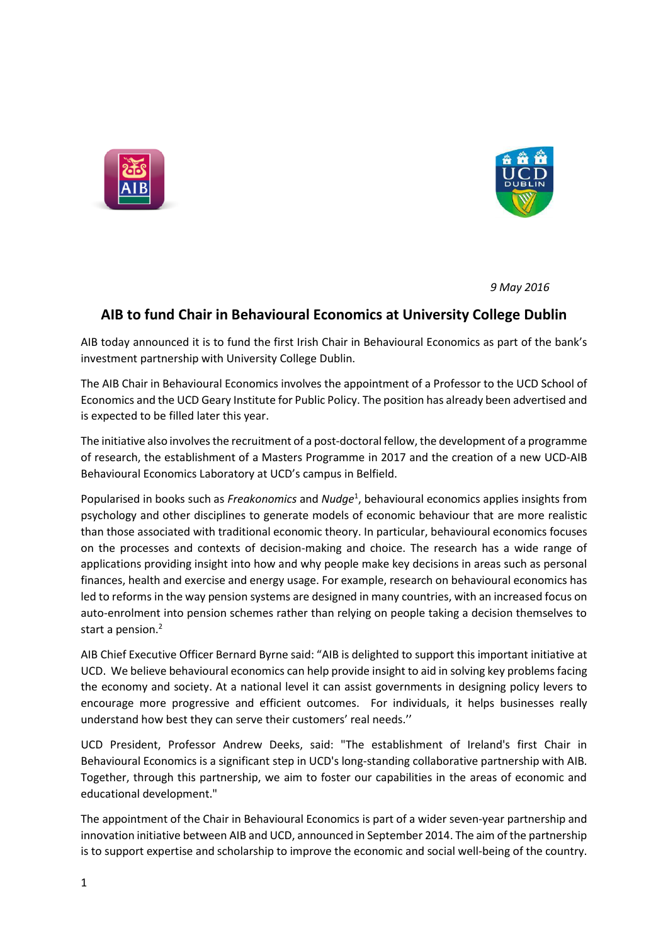



 *9 May 2016*

## **AIB to fund Chair in Behavioural Economics at University College Dublin**

AIB today announced it is to fund the first Irish Chair in Behavioural Economics as part of the bank's investment partnership with University College Dublin.

The AIB Chair in Behavioural Economics involves the appointment of a Professor to the UCD School of Economics and the UCD Geary Institute for Public Policy. The position has already been advertised and is expected to be filled later this year.

The initiative also involves the recruitment of a post-doctoral fellow, the development of a programme of research, the establishment of a Masters Programme in 2017 and the creation of a new UCD-AIB Behavioural Economics Laboratory at UCD's campus in Belfield.

Popularised in books such as *Freakonomics* and *Nudge*<sup>1</sup> , behavioural economics applies insights from psychology and other disciplines to generate models of economic behaviour that are more realistic than those associated with traditional economic theory. In particular, behavioural economics focuses on the processes and contexts of decision-making and choice. The research has a wide range of applications providing insight into how and why people make key decisions in areas such as personal finances, health and exercise and energy usage. For example, research on behavioural economics has led to reforms in the way pension systems are designed in many countries, with an increased focus on auto-enrolment into pension schemes rather than relying on people taking a decision themselves to start a pension.<sup>2</sup>

AIB Chief Executive Officer Bernard Byrne said: "AIB is delighted to support this important initiative at UCD. We believe behavioural economics can help provide insight to aid in solving key problems facing the economy and society. At a national level it can assist governments in designing policy levers to encourage more progressive and efficient outcomes. For individuals, it helps businesses really understand how best they can serve their customers' real needs.''

UCD President, Professor Andrew Deeks, said: "The establishment of Ireland's first Chair in Behavioural Economics is a significant step in UCD's long-standing collaborative partnership with AIB. Together, through this partnership, we aim to foster our capabilities in the areas of economic and educational development."

The appointment of the Chair in Behavioural Economics is part of a wider seven-year partnership and innovation initiative between AIB and UCD, announced in September 2014. The aim of the partnership is to support expertise and scholarship to improve the economic and social well-being of the country.